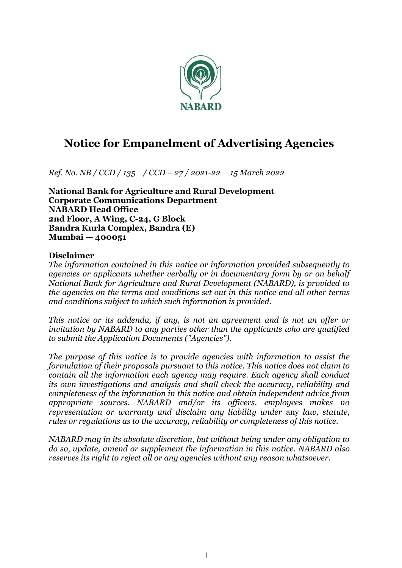

# **Notice for Empanelment of Advertising Agencies**

*Ref. No. NB / CCD / 135 / CCD – 27 / 2021-22 15 March 2022*

**National Bank for Agriculture and Rural Development Corporate Communications Department NABARD Head Office 2nd Floor, A Wing, C-24, G Block Bandra Kurla Complex, Bandra (E) Mumbai — 400051** 

#### **Disclaimer**

*The information contained in this notice or information provided subsequently to agencies or applicants whether verbally or in documentary form by or on behalf National Bank for Agriculture and Rural Development (NABARD), is provided to the agencies on the terms and conditions set out in this notice and all other terms and conditions subject to which such information is provided.* 

*This notice or its addenda, if any, is not an agreement and is not an offer or invitation by NABARD to any parties other than the applicants who are qualified to submit the Application Documents ("Agencies").* 

*The purpose of this notice is to provide agencies with information to assist the formulation of their proposals pursuant to this notice. This notice does not claim to contain all the information each agency may require. Each agency shall conduct its own investigations and analysis and shall check the accuracy, reliability and completeness of the information in this notice and obtain independent advice from appropriate sources. NABARD and/or its officers, employees makes no representation or warranty and disclaim any liability under* any *law, statute, rules or regulations as to the accuracy, reliability or completeness of this notice.* 

*NABARD may in its absolute discretion, but without being under any obligation to do so, update, amend or supplement the information in this notice. NABARD also reserves its right to reject all or any agencies without any reason whatsoever.*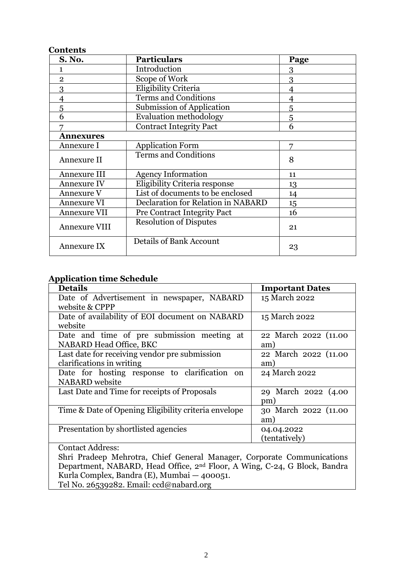#### **Contents**

| <b>S. No.</b>        | <b>Particulars</b>                        | Page |
|----------------------|-------------------------------------------|------|
| 1                    | Introduction                              | 3    |
| $\overline{2}$       | Scope of Work                             | 3    |
| 3                    | Eligibility Criteria                      | 4    |
| $\overline{4}$       | <b>Terms and Conditions</b>               | 4    |
| 5                    | <b>Submission of Application</b>          | 5    |
| 6                    | <b>Evaluation methodology</b>             | 5    |
|                      | <b>Contract Integrity Pact</b>            | 6    |
| <b>Annexures</b>     |                                           |      |
| Annexure I           | <b>Application Form</b>                   | 7    |
| Annexure II          | <b>Terms and Conditions</b>               | 8    |
| Annexure III         | <b>Agency Information</b>                 | 11   |
| <b>Annexure IV</b>   | Eligibility Criteria response             | 13   |
| Annexure V           | List of documents to be enclosed          | 14   |
| <b>Annexure VI</b>   | <b>Declaration for Relation in NABARD</b> | 15   |
| <b>Annexure VII</b>  | <b>Pre Contract Integrity Pact</b>        | 16   |
| <b>Annexure VIII</b> | <b>Resolution of Disputes</b>             | 21   |
| Annexure IX          | <b>Details of Bank Account</b>            | 23   |

#### **Application time Schedule**

| <b>Details</b>                                                                       | <b>Important Dates</b>      |
|--------------------------------------------------------------------------------------|-----------------------------|
| Date of Advertisement in newspaper, NABARD<br>website & CPPP                         | 15 March 2022               |
| Date of availability of EOI document on NABARD<br>website                            | 15 March 2022               |
| Date and time of pre submission meeting at<br><b>NABARD Head Office, BKC</b>         | 22 March 2022 (11.00<br>am) |
| Last date for receiving vendor pre submission<br>clarifications in writing           | 22 March 2022 (11.00<br>am) |
| Date for hosting response to clarification<br><sub>on</sub><br><b>NABARD</b> website | 24 March 2022               |
| Last Date and Time for receipts of Proposals                                         | 29 March 2022 (4.00<br>pm)  |
| Time & Date of Opening Eligibility criteria envelope                                 | 30 March 2022 (11.00<br>am) |
| Presentation by shortlisted agencies                                                 | 04.04.2022<br>(tentatively) |
| <b>Contact Address:</b>                                                              |                             |

Shri Pradeep Mehrotra, Chief General Manager, Corporate Communications Department, NABARD, Head Office, 2nd Floor, A Wing, C-24, G Block, Bandra Kurla Complex, Bandra (E), Mumbai — 400051. Tel No. 26539282. Email: ccd@nabard.org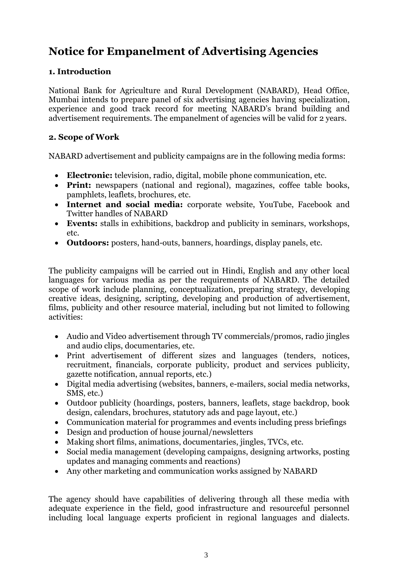# **Notice for Empanelment of Advertising Agencies**

# **1. Introduction**

National Bank for Agriculture and Rural Development (NABARD), Head Office, Mumbai intends to prepare panel of six advertising agencies having specialization, experience and good track record for meeting NABARD's brand building and advertisement requirements. The empanelment of agencies will be valid for 2 years.

# **2. Scope of Work**

NABARD advertisement and publicity campaigns are in the following media forms:

- **Electronic:** television, radio, digital, mobile phone communication, etc.
- **Print:** newspapers (national and regional), magazines, coffee table books, pamphlets, leaflets, brochures, etc.
- **Internet and social media:** corporate website, YouTube, Facebook and Twitter handles of NABARD
- **Events:** stalls in exhibitions, backdrop and publicity in seminars, workshops, etc.
- **Outdoors:** posters, hand-outs, banners, hoardings, display panels, etc.

The publicity campaigns will be carried out in Hindi, English and any other local languages for various media as per the requirements of NABARD. The detailed scope of work include planning, conceptualization, preparing strategy, developing creative ideas, designing, scripting, developing and production of advertisement, films, publicity and other resource material, including but not limited to following activities:

- Audio and Video advertisement through TV commercials/promos, radio jingles and audio clips, documentaries, etc.
- Print advertisement of different sizes and languages (tenders, notices, recruitment, financials, corporate publicity, product and services publicity, gazette notification, annual reports, etc.)
- Digital media advertising (websites, banners, e-mailers, social media networks, SMS, etc.)
- Outdoor publicity (hoardings, posters, banners, leaflets, stage backdrop, book design, calendars, brochures, statutory ads and page layout, etc.)
- Communication material for programmes and events including press briefings
- Design and production of house journal/newsletters
- Making short films, animations, documentaries, jingles, TVCs, etc.
- Social media management (developing campaigns, designing artworks, posting updates and managing comments and reactions)
- Any other marketing and communication works assigned by NABARD

The agency should have capabilities of delivering through all these media with adequate experience in the field, good infrastructure and resourceful personnel including local language experts proficient in regional languages and dialects.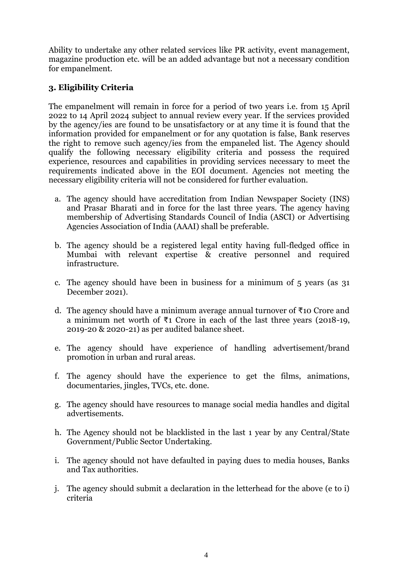Ability to undertake any other related services like PR activity, event management, magazine production etc. will be an added advantage but not a necessary condition for empanelment.

# **3. Eligibility Criteria**

The empanelment will remain in force for a period of two years i.e. from 15 April 2022 to 14 April 2024 subject to annual review every year. If the services provided by the agency/ies are found to be unsatisfactory or at any time it is found that the information provided for empanelment or for any quotation is false, Bank reserves the right to remove such agency/ies from the empaneled list. The Agency should qualify the following necessary eligibility criteria and possess the required experience, resources and capabilities in providing services necessary to meet the requirements indicated above in the EOI document. Agencies not meeting the necessary eligibility criteria will not be considered for further evaluation.

- a. The agency should have accreditation from Indian Newspaper Society (INS) and Prasar Bharati and in force for the last three years. The agency having membership of Advertising Standards Council of India (ASCI) or Advertising Agencies Association of India (AAAI) shall be preferable.
- b. The agency should be a registered legal entity having full-fledged office in Mumbai with relevant expertise & creative personnel and required infrastructure.
- c. The agency should have been in business for a minimum of 5 years (as 31 December 2021).
- d. The agency should have a minimum average annual turnover of ₹10 Crore and a minimum net worth of ₹1 Crore in each of the last three years (2018-19, 2019-20 & 2020-21) as per audited balance sheet.
- e. The agency should have experience of handling advertisement/brand promotion in urban and rural areas.
- f. The agency should have the experience to get the films, animations, documentaries, jingles, TVCs, etc. done.
- g. The agency should have resources to manage social media handles and digital advertisements.
- h. The Agency should not be blacklisted in the last 1 year by any Central/State Government/Public Sector Undertaking.
- i. The agency should not have defaulted in paying dues to media houses, Banks and Tax authorities.
- j. The agency should submit a declaration in the letterhead for the above (e to i) criteria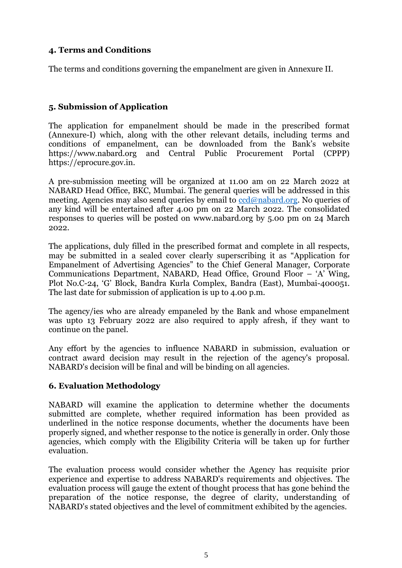# **4. Terms and Conditions**

The terms and conditions governing the empanelment are given in Annexure II.

# **5. Submission of Application**

The application for empanelment should be made in the prescribed format (Annexure-I) which, along with the other relevant details, including terms and conditions of empanelment, can be downloaded from the Bank's website https://www.nabard.org and Central Public Procurement Portal (CPPP) https://eprocure.gov.in.

A pre-submission meeting will be organized at 11.00 am on 22 March 2022 at NABARD Head Office, BKC, Mumbai. The general queries will be addressed in this meeting. Agencies may also send queries by email to [ccd@nabard.org.](mailto:ccd@nabard.org) No queries of any kind will be entertained after 4.00 pm on 22 March 2022. The consolidated responses to queries will be posted on [www.nabard.org](http://www.nabard.org/) by 5.00 pm on 24 March 2022.

The applications, duly filled in the prescribed format and complete in all respects, may be submitted in a sealed cover clearly superscribing it as "Application for Empanelment of Advertising Agencies" to the Chief General Manager, Corporate Communications Department, NABARD, Head Office, Ground Floor – 'A' Wing, Plot No.C-24, 'G' Block, Bandra Kurla Complex, Bandra (East), Mumbai-400051. The last date for submission of application is up to 4.00 p.m.

The agency/ies who are already empaneled by the Bank and whose empanelment was upto 13 February 2022 are also required to apply afresh, if they want to continue on the panel.

Any effort by the agencies to influence NABARD in submission, evaluation or contract award decision may result in the rejection of the agency's proposal. NABARD's decision will be final and will be binding on all agencies.

# **6. Evaluation Methodology**

NABARD will examine the application to determine whether the documents submitted are complete, whether required information has been provided as underlined in the notice response documents, whether the documents have been properly signed, and whether response to the notice is generally in order. Only those agencies, which comply with the Eligibility Criteria will be taken up for further evaluation.

The evaluation process would consider whether the Agency has requisite prior experience and expertise to address NABARD's requirements and objectives. The evaluation process will gauge the extent of thought process that has gone behind the preparation of the notice response, the degree of clarity, understanding of NABARD's stated objectives and the level of commitment exhibited by the agencies.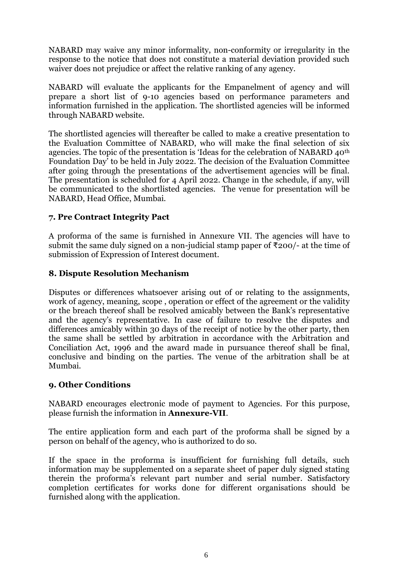NABARD may waive any minor informality, non-conformity or irregularity in the response to the notice that does not constitute a material deviation provided such waiver does not prejudice or affect the relative ranking of any agency.

NABARD will evaluate the applicants for the Empanelment of agency and will prepare a short list of 9-10 agencies based on performance parameters and information furnished in the application. The shortlisted agencies will be informed through NABARD website.

The shortlisted agencies will thereafter be called to make a creative presentation to the Evaluation Committee of NABARD, who will make the final selection of six agencies. The topic of the presentation is 'Ideas for the celebration of NABARD 40th Foundation Day' to be held in July 2022. The decision of the Evaluation Committee after going through the presentations of the advertisement agencies will be final. The presentation is scheduled for 4 April 2022. Change in the schedule, if any, will be communicated to the shortlisted agencies. The venue for presentation will be NABARD, Head Office, Mumbai.

#### **7. Pre Contract Integrity Pact**

A proforma of the same is furnished in Annexure VII. The agencies will have to submit the same duly signed on a non-judicial stamp paper of  $\overline{\tau}200$  - at the time of submission of Expression of Interest document.

#### **8. Dispute Resolution Mechanism**

Disputes or differences whatsoever arising out of or relating to the assignments, work of agency, meaning, scope , operation or effect of the agreement or the validity or the breach thereof shall be resolved amicably between the Bank's representative and the agency's representative. In case of failure to resolve the disputes and differences amicably within 30 days of the receipt of notice by the other party, then the same shall be settled by arbitration in accordance with the Arbitration and Conciliation Act, 1996 and the award made in pursuance thereof shall be final, conclusive and binding on the parties. The venue of the arbitration shall be at Mumbai.

#### **9. Other Conditions**

NABARD encourages electronic mode of payment to Agencies. For this purpose, please furnish the information in **Annexure-VII**.

The entire application form and each part of the proforma shall be signed by a person on behalf of the agency, who is authorized to do so.

If the space in the proforma is insufficient for furnishing full details, such information may be supplemented on a separate sheet of paper duly signed stating therein the proforma's relevant part number and serial number. Satisfactory completion certificates for works done for different organisations should be furnished along with the application.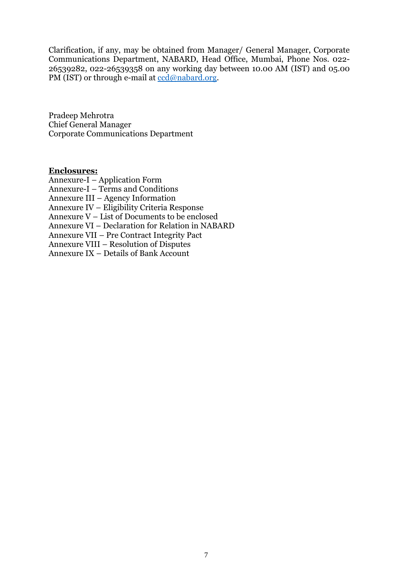Clarification, if any, may be obtained from Manager/ General Manager, Corporate Communications Department, NABARD, Head Office, Mumbai, Phone Nos. 022- 26539282, 022-26539358 on any working day between 10.00 AM (IST) and 05.00 PM (IST) or through e-mail at [ccd@nabard.org.](mailto:ccd@nabard.org)

Pradeep Mehrotra Chief General Manager Corporate Communications Department

#### **Enclosures:**

Annexure-I – Application Form Annexure-I – Terms and Conditions Annexure III – Agency Information Annexure IV – Eligibility Criteria Response Annexure V – List of Documents to be enclosed Annexure VI – Declaration for Relation in NABARD Annexure VII – Pre Contract Integrity Pact Annexure VIII – Resolution of Disputes Annexure IX – Details of Bank Account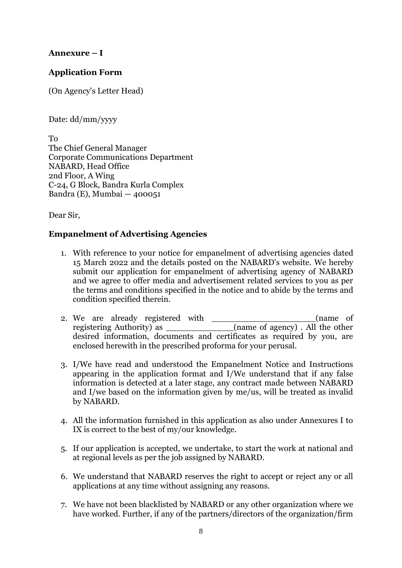# **Annexure – I**

# **Application Form**

(On Agency's Letter Head)

Date: dd/mm/yyyy

To The Chief General Manager Corporate Communications Department NABARD, Head Office 2nd Floor, A Wing C-24, G Block, Bandra Kurla Complex Bandra (E), Mumbai — 400051

Dear Sir,

#### **Empanelment of Advertising Agencies**

- 1. With reference to your notice for empanelment of advertising agencies dated 15 March 2022 and the details posted on the NABARD's website. We hereby submit our application for empanelment of advertising agency of NABARD and we agree to offer media and advertisement related services to you as per the terms and conditions specified in the notice and to abide by the terms and condition specified therein.
- 2. We are already registered with \_\_\_\_\_\_\_\_\_\_\_\_\_\_\_\_\_\_\_\_(name of registering Authority) as desired information, documents and certificates as required by you, are enclosed herewith in the prescribed proforma for your perusal.
- 3. I/We have read and understood the Empanelment Notice and Instructions appearing in the application format and I/We understand that if any false information is detected at a later stage, any contract made between NABARD and I/we based on the information given by me/us, will be treated as invalid by NABARD.
- 4. All the information furnished in this application as also under Annexures I to IX is correct to the best of my/our knowledge.
- 5. If our application is accepted, we undertake, to start the work at national and at regional levels as per the job assigned by NABARD.
- 6. We understand that NABARD reserves the right to accept or reject any or all applications at any time without assigning any reasons.
- 7. We have not been blacklisted by NABARD or any other organization where we have worked. Further, if any of the partners/directors of the organization/firm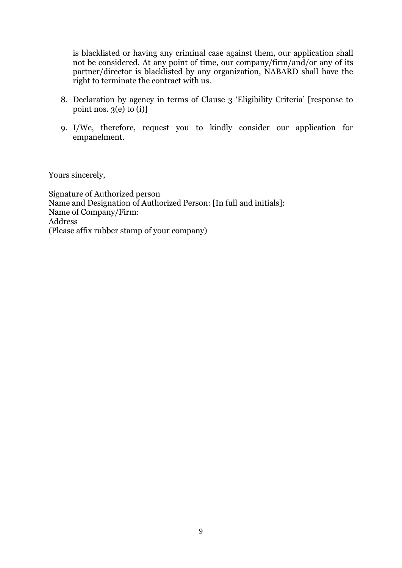is blacklisted or having any criminal case against them, our application shall not be considered. At any point of time, our company/firm/and/or any of its partner/director is blacklisted by any organization, NABARD shall have the right to terminate the contract with us.

- 8. Declaration by agency in terms of Clause 3 'Eligibility Criteria' [response to point nos.  $3(e)$  to  $(i)$ ]
- 9. I/We, therefore, request you to kindly consider our application for empanelment.

Yours sincerely,

Signature of Authorized person Name and Designation of Authorized Person: [In full and initials]: Name of Company/Firm: Address (Please affix rubber stamp of your company)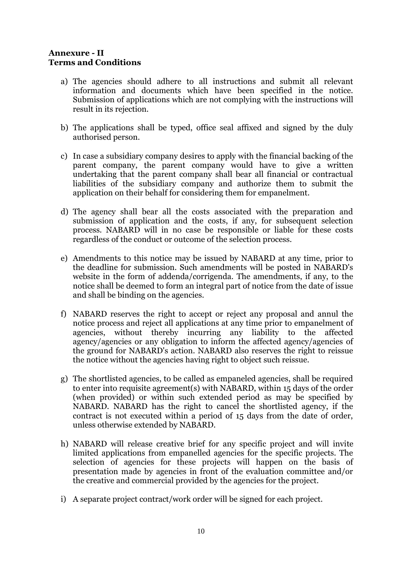#### **Annexure - II Terms and Conditions**

- a) The agencies should adhere to all instructions and submit all relevant information and documents which have been specified in the notice. Submission of applications which are not complying with the instructions will result in its rejection.
- b) The applications shall be typed, office seal affixed and signed by the duly authorised person.
- c) In case a subsidiary company desires to apply with the financial backing of the parent company, the parent company would have to give a written undertaking that the parent company shall bear all financial or contractual liabilities of the subsidiary company and authorize them to submit the application on their behalf for considering them for empanelment.
- d) The agency shall bear all the costs associated with the preparation and submission of application and the costs, if any, for subsequent selection process. NABARD will in no case be responsible or liable for these costs regardless of the conduct or outcome of the selection process.
- e) Amendments to this notice may be issued by NABARD at any time, prior to the deadline for submission. Such amendments will be posted in NABARD's website in the form of addenda/corrigenda. The amendments, if any, to the notice shall be deemed to form an integral part of notice from the date of issue and shall be binding on the agencies.
- f) NABARD reserves the right to accept or reject any proposal and annul the notice process and reject all applications at any time prior to empanelment of agencies, without thereby incurring any liability to the affected agency/agencies or any obligation to inform the affected agency/agencies of the ground for NABARD's action. NABARD also reserves the right to reissue the notice without the agencies having right to object such reissue.
- g) The shortlisted agencies, to be called as empaneled agencies, shall be required to enter into requisite agreement(s) with NABARD, within 15 days of the order (when provided) or within such extended period as may be specified by NABARD. NABARD has the right to cancel the shortlisted agency, if the contract is not executed within a period of 15 days from the date of order, unless otherwise extended by NABARD.
- h) NABARD will release creative brief for any specific project and will invite limited applications from empanelled agencies for the specific projects. The selection of agencies for these projects will happen on the basis of presentation made by agencies in front of the evaluation committee and/or the creative and commercial provided by the agencies for the project.
- i) A separate project contract/work order will be signed for each project.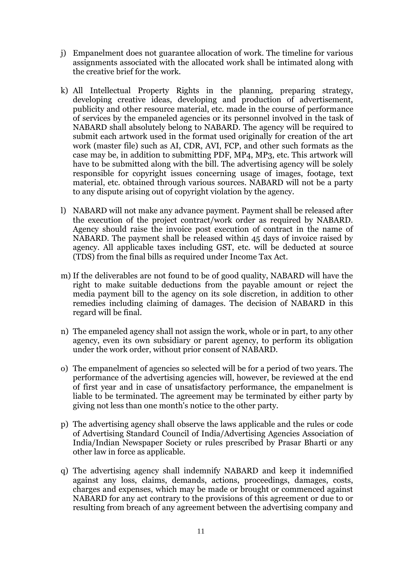- j) Empanelment does not guarantee allocation of work. The timeline for various assignments associated with the allocated work shall be intimated along with the creative brief for the work.
- k) All Intellectual Property Rights in the planning, preparing strategy, developing creative ideas, developing and production of advertisement, publicity and other resource material, etc. made in the course of performance of services by the empaneled agencies or its personnel involved in the task of NABARD shall absolutely belong to NABARD. The agency will be required to submit each artwork used in the format used originally for creation of the art work (master file) such as AI, CDR, AVI, FCP, and other such formats as the case may be, in addition to submitting PDF, MP4, MP3, etc. This artwork will have to be submitted along with the bill. The advertising agency will be solely responsible for copyright issues concerning usage of images, footage, text material, etc. obtained through various sources. NABARD will not be a party to any dispute arising out of copyright violation by the agency.
- l) NABARD will not make any advance payment. Payment shall be released after the execution of the project contract/work order as required by NABARD. Agency should raise the invoice post execution of contract in the name of NABARD. The payment shall be released within 45 days of invoice raised by agency. All applicable taxes including GST, etc. will be deducted at source (TDS) from the final bills as required under Income Tax Act.
- m) If the deliverables are not found to be of good quality, NABARD will have the right to make suitable deductions from the payable amount or reject the media payment bill to the agency on its sole discretion, in addition to other remedies including claiming of damages. The decision of NABARD in this regard will be final.
- n) The empaneled agency shall not assign the work, whole or in part, to any other agency, even its own subsidiary or parent agency, to perform its obligation under the work order, without prior consent of NABARD.
- o) The empanelment of agencies so selected will be for a period of two years. The performance of the advertising agencies will, however, be reviewed at the end of first year and in case of unsatisfactory performance, the empanelment is liable to be terminated. The agreement may be terminated by either party by giving not less than one month's notice to the other party.
- p) The advertising agency shall observe the laws applicable and the rules or code of Advertising Standard Council of India/Advertising Agencies Association of India/Indian Newspaper Society or rules prescribed by Prasar Bharti or any other law in force as applicable.
- q) The advertising agency shall indemnify NABARD and keep it indemnified against any loss, claims, demands, actions, proceedings, damages, costs, charges and expenses, which may be made or brought or commenced against NABARD for any act contrary to the provisions of this agreement or due to or resulting from breach of any agreement between the advertising company and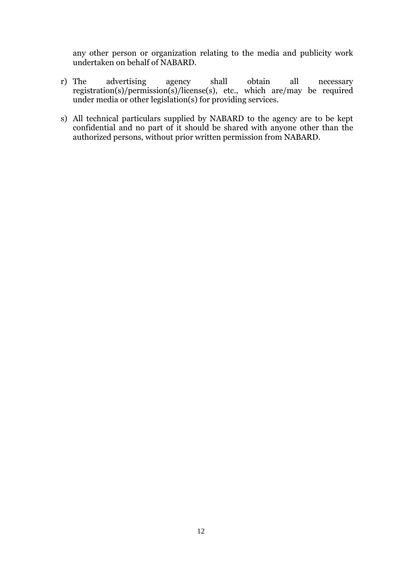any other person or organization relating to the media and publicity work undertaken on behalf of NABARD.

- r) The advertising agency shall obtain all necessary registration(s)/permission(s)/license(s), etc., which are/may be required under media or other legislation(s) for providing services.
- s) All technical particulars supplied by NABARD to the agency are to be kept confidential and no part of it should be shared with anyone other than the authorized persons, without prior written permission from NABARD.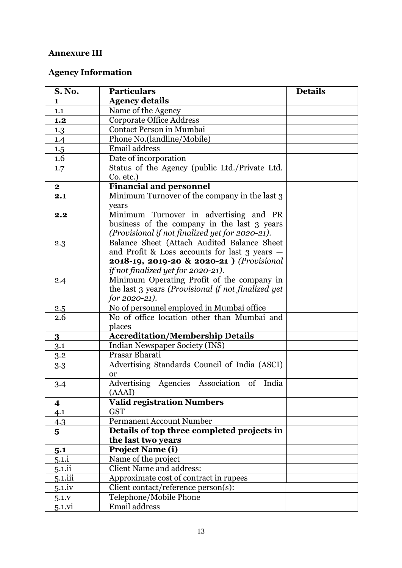# **Annexure III**

# **Agency Information**

| <b>S. No.</b>           | <b>Particulars</b>                                 | <b>Details</b> |
|-------------------------|----------------------------------------------------|----------------|
| $\mathbf{1}$            | <b>Agency details</b>                              |                |
| 1.1                     | Name of the Agency                                 |                |
| 1.2                     | <b>Corporate Office Address</b>                    |                |
| 1.3                     | Contact Person in Mumbai                           |                |
| 1.4                     | Phone No.(landline/Mobile)                         |                |
| 1.5                     | Email address                                      |                |
| 1.6                     | Date of incorporation                              |                |
| 1.7                     | Status of the Agency (public Ltd./Private Ltd.     |                |
|                         | Co. etc.)                                          |                |
| $\mathbf{2}$            | <b>Financial and personnel</b>                     |                |
| 2.1                     | Minimum Turnover of the company in the last 3      |                |
|                         | years                                              |                |
| 2,2                     | Minimum Turnover in advertising and PR             |                |
|                         | business of the company in the last 3 years        |                |
|                         | (Provisional if not finalized yet for 2020-21).    |                |
| 2.3                     | Balance Sheet (Attach Audited Balance Sheet        |                |
|                         | and Profit & Loss accounts for last $3$ years $-$  |                |
|                         | 2018-19, 2019-20 & 2020-21 ) (Provisional          |                |
|                         | if not finalized yet for 2020-21).                 |                |
| 2.4                     | Minimum Operating Profit of the company in         |                |
|                         | the last 3 years (Provisional if not finalized yet |                |
|                         | for $2020 - 21$ ).                                 |                |
| 2.5                     | No of personnel employed in Mumbai office          |                |
| 2.6                     | No of office location other than Mumbai and        |                |
|                         | places                                             |                |
| $\bf{3}$                | <b>Accreditation/Membership Details</b>            |                |
| 3.1                     | Indian Newspaper Society (INS)<br>Prasar Bharati   |                |
| 3.2                     | Advertising Standards Council of India (ASCI)      |                |
| 3.3                     | or                                                 |                |
| 3.4                     | Advertising Agencies Association of India          |                |
|                         | (AAAI)                                             |                |
| 4                       | <b>Valid registration Numbers</b>                  |                |
| 4.1                     | <b>GST</b>                                         |                |
| 4.3                     | <b>Permanent Account Number</b>                    |                |
| $\overline{\mathbf{5}}$ | Details of top three completed projects in         |                |
|                         | the last two years                                 |                |
| 5.1                     | <b>Project Name (i)</b>                            |                |
| $5.1$ .i                | Name of the project                                |                |
| $5.1$ .ii               | <b>Client Name and address:</b>                    |                |
| 5.1.iii                 | Approximate cost of contract in rupees             |                |
| $5.1$ iv                | Client contact/reference person(s):                |                |
| $5.1.$ v                | Telephone/Mobile Phone                             |                |
| 5.1.vi                  | Email address                                      |                |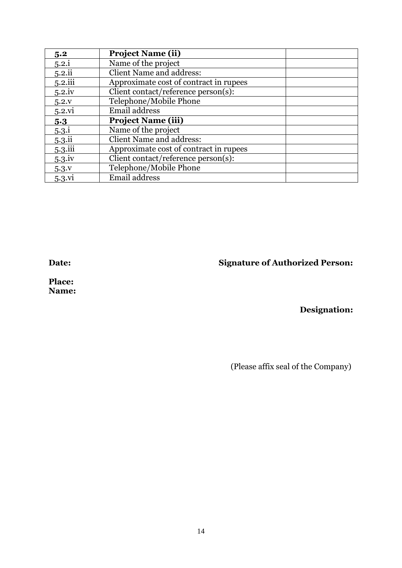| 5.2          | <b>Project Name (ii)</b>               |
|--------------|----------------------------------------|
| 5.2.i        | Name of the project                    |
| 5.2.ii       | <b>Client Name and address:</b>        |
| $5.2$ .iii   | Approximate cost of contract in rupees |
| $5.2$ iv     | Client contact/reference person(s):    |
| 5.2.v        | Telephone/Mobile Phone                 |
| 5.2.vi       | Email address                          |
| 5.3          | <b>Project Name (iii)</b>              |
| $5.3\dot{.}$ | Name of the project                    |
| 5.3.ii       | <b>Client Name and address:</b>        |
| 5.3.iii      | Approximate cost of contract in rupees |
| 5.3.iv       | Client contact/reference person(s):    |
|              |                                        |
| 5.3V         | Telephone/Mobile Phone                 |

**Date: Signature of Authorized Person:**

**Place: Name:** 

# **Designation:**

(Please affix seal of the Company)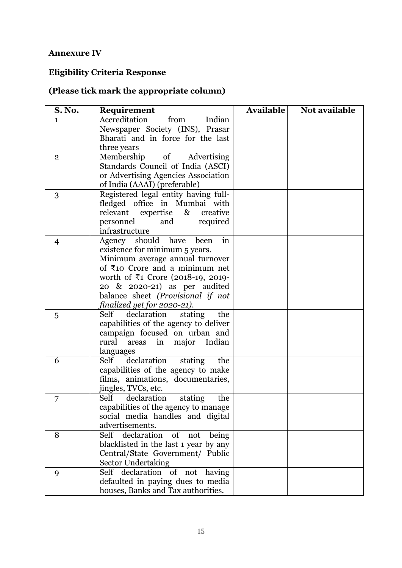# **Annexure IV**

# **Eligibility Criteria Response**

# **(Please tick mark the appropriate column)**

| S. No.         | Requirement                                     | <b>Available</b> | Not available |
|----------------|-------------------------------------------------|------------------|---------------|
| $\mathbf{1}$   | Accreditation<br>Indian<br>from                 |                  |               |
|                | Newspaper Society (INS), Prasar                 |                  |               |
|                | Bharati and in force for the last               |                  |               |
|                | three years                                     |                  |               |
| $\overline{2}$ | Membership<br>of Advertising                    |                  |               |
|                | Standards Council of India (ASCI)               |                  |               |
|                | or Advertising Agencies Association             |                  |               |
|                | of India (AAAI) (preferable)                    |                  |               |
| 3              | Registered legal entity having full-            |                  |               |
|                | fledged office in Mumbai with                   |                  |               |
|                | relevant expertise<br>creative<br>$\&$          |                  |               |
|                | personnel<br>and<br>required                    |                  |               |
|                | infrastructure                                  |                  |               |
| $\overline{4}$ | Agency should have<br>been<br>in                |                  |               |
|                | existence for minimum 5 years.                  |                  |               |
|                | Minimum average annual turnover                 |                  |               |
|                | of $\overline{\xi}$ 10 Crore and a minimum net  |                  |               |
|                | worth of ₹1 Crore (2018-19, 2019-               |                  |               |
|                | 20 & 2020-21) as per audited                    |                  |               |
|                | balance sheet (Provisional if not               |                  |               |
|                | finalized yet for 2020-21).                     |                  |               |
| 5              | Self declaration<br>stating<br>the              |                  |               |
|                | capabilities of the agency to deliver           |                  |               |
|                | campaign focused on urban and<br>rural          |                  |               |
|                | areas<br>major Indian<br>in                     |                  |               |
| 6              | languages<br>declaration stating<br>Self<br>the |                  |               |
|                | capabilities of the agency to make              |                  |               |
|                | films, animations, documentaries,               |                  |               |
|                | jingles, TVCs, etc.                             |                  |               |
| 7              | Self<br>declaration<br>stating<br>the           |                  |               |
|                | capabilities of the agency to manage            |                  |               |
|                | social media handles and digital                |                  |               |
|                | advertisements.                                 |                  |               |
| 8              | Self declaration<br>$\sigma$<br>not<br>being    |                  |               |
|                | blacklisted in the last 1 year by any           |                  |               |
|                | Central/State Government/ Public                |                  |               |
|                | <b>Sector Undertaking</b>                       |                  |               |
| 9              | Self declaration of not having                  |                  |               |
|                | defaulted in paying dues to media               |                  |               |
|                | houses, Banks and Tax authorities.              |                  |               |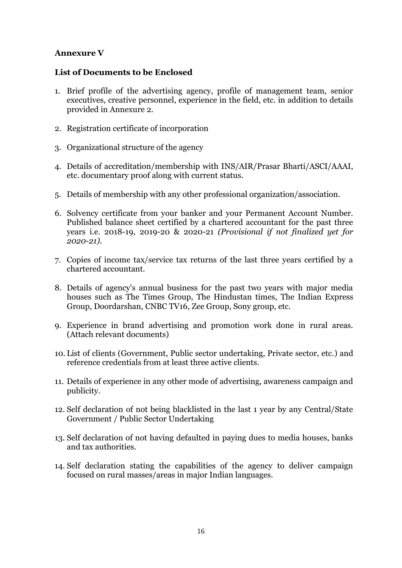# **Annexure V**

#### **List of Documents to be Enclosed**

- 1. Brief profile of the advertising agency, profile of management team, senior executives, creative personnel, experience in the field, etc. in addition to details provided in Annexure 2.
- 2. Registration certificate of incorporation
- 3. Organizational structure of the agency
- 4. Details of accreditation/membership with INS/AIR/Prasar Bharti/ASCI/AAAI, etc. documentary proof along with current status.
- 5. Details of membership with any other professional organization/association.
- 6. Solvency certificate from your banker and your Permanent Account Number. Published balance sheet certified by a chartered accountant for the past three years i.e. 2018-19, 2019-20 & 2020-21 *(Provisional if not finalized yet for 2020-21).*
- 7. Copies of income tax/service tax returns of the last three years certified by a chartered accountant.
- 8. Details of agency's annual business for the past two years with major media houses such as The Times Group, The Hindustan times, The Indian Express Group, Doordarshan, CNBC TV16, Zee Group, Sony group, etc.
- 9. Experience in brand advertising and promotion work done in rural areas. (Attach relevant documents)
- 10. List of clients (Government, Public sector undertaking, Private sector, etc.) and reference credentials from at least three active clients.
- 11. Details of experience in any other mode of advertising, awareness campaign and publicity.
- 12. Self declaration of not being blacklisted in the last 1 year by any Central/State Government / Public Sector Undertaking
- 13. Self declaration of not having defaulted in paying dues to media houses, banks and tax authorities.
- 14. Self declaration stating the capabilities of the agency to deliver campaign focused on rural masses/areas in major Indian languages.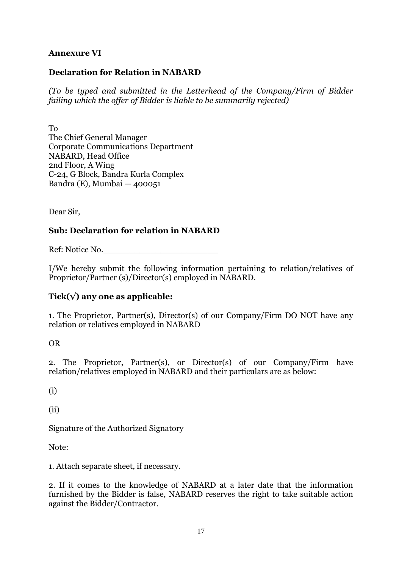# **Annexure VI**

### **Declaration for Relation in NABARD**

*(To be typed and submitted in the Letterhead of the Company/Firm of Bidder failing which the offer of Bidder is liable to be summarily rejected)* 

To The Chief General Manager Corporate Communications Department NABARD, Head Office 2nd Floor, A Wing C-24, G Block, Bandra Kurla Complex Bandra (E), Mumbai — 400051

Dear Sir,

# **Sub: Declaration for relation in NABARD**

Ref: Notice No.

I/We hereby submit the following information pertaining to relation/relatives of Proprietor/Partner (s)/Director(s) employed in NABARD.

# **Tick(√) any one as applicable:**

1. The Proprietor, Partner(s), Director(s) of our Company/Firm DO NOT have any relation or relatives employed in NABARD

OR

2. The Proprietor, Partner(s), or Director(s) of our Company/Firm have relation/relatives employed in NABARD and their particulars are as below:

(i)

(ii)

Signature of the Authorized Signatory

Note:

1. Attach separate sheet, if necessary.

2. If it comes to the knowledge of NABARD at a later date that the information furnished by the Bidder is false, NABARD reserves the right to take suitable action against the Bidder/Contractor.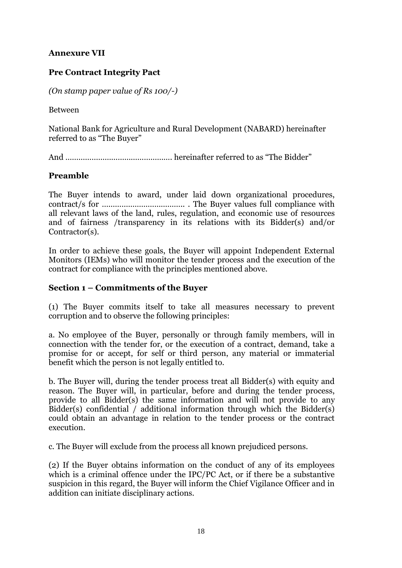# **Annexure VII**

# **Pre Contract Integrity Pact**

*(On stamp paper value of Rs 100/-)* 

Between

National Bank for Agriculture and Rural Development (NABARD) hereinafter referred to as "The Buyer"

And …………………………………………. hereinafter referred to as "The Bidder"

# **Preamble**

The Buyer intends to award, under laid down organizational procedures, contract/s for ……………………………….. . The Buyer values full compliance with all relevant laws of the land, rules, regulation, and economic use of resources and of fairness /transparency in its relations with its Bidder(s) and/or Contractor(s).

In order to achieve these goals, the Buyer will appoint Independent External Monitors (IEMs) who will monitor the tender process and the execution of the contract for compliance with the principles mentioned above.

#### **Section 1 – Commitments of the Buyer**

(1) The Buyer commits itself to take all measures necessary to prevent corruption and to observe the following principles:

a. No employee of the Buyer, personally or through family members, will in connection with the tender for, or the execution of a contract, demand, take a promise for or accept, for self or third person, any material or immaterial benefit which the person is not legally entitled to.

b. The Buyer will, during the tender process treat all Bidder(s) with equity and reason. The Buyer will, in particular, before and during the tender process, provide to all Bidder(s) the same information and will not provide to any Bidder(s) confidential / additional information through which the Bidder(s) could obtain an advantage in relation to the tender process or the contract execution.

c. The Buyer will exclude from the process all known prejudiced persons.

(2) If the Buyer obtains information on the conduct of any of its employees which is a criminal offence under the IPC/PC Act, or if there be a substantive suspicion in this regard, the Buyer will inform the Chief Vigilance Officer and in addition can initiate disciplinary actions.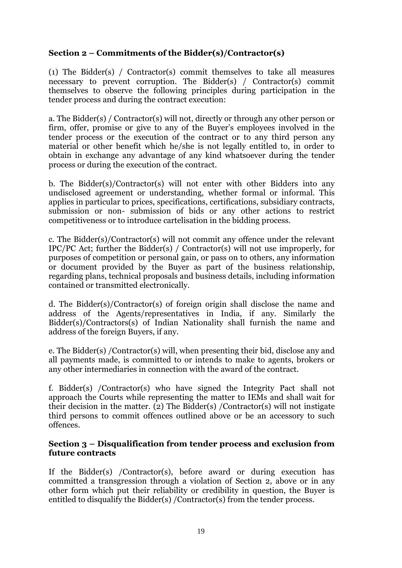# **Section 2 – Commitments of the Bidder(s)/Contractor(s)**

(1) The Bidder(s) / Contractor(s) commit themselves to take all measures necessary to prevent corruption. The Bidder(s) / Contractor(s) commit themselves to observe the following principles during participation in the tender process and during the contract execution:

a. The Bidder(s) / Contractor(s) will not, directly or through any other person or firm, offer, promise or give to any of the Buyer's employees involved in the tender process or the execution of the contract or to any third person any material or other benefit which he/she is not legally entitled to, in order to obtain in exchange any advantage of any kind whatsoever during the tender process or during the execution of the contract.

b. The Bidder(s)/Contractor(s) will not enter with other Bidders into any undisclosed agreement or understanding, whether formal or informal. This applies in particular to prices, specifications, certifications, subsidiary contracts, submission or non- submission of bids or any other actions to restrict competitiveness or to introduce cartelisation in the bidding process.

c. The Bidder(s)/Contractor(s) will not commit any offence under the relevant IPC/PC Act; further the Bidder(s) / Contractor(s) will not use improperly, for purposes of competition or personal gain, or pass on to others, any information or document provided by the Buyer as part of the business relationship, regarding plans, technical proposals and business details, including information contained or transmitted electronically.

d. The Bidder(s)/Contractor(s) of foreign origin shall disclose the name and address of the Agents/representatives in India, if any. Similarly the Bidder(s)/Contractors(s) of Indian Nationality shall furnish the name and address of the foreign Buyers, if any.

e. The Bidder(s) /Contractor(s) will, when presenting their bid, disclose any and all payments made, is committed to or intends to make to agents, brokers or any other intermediaries in connection with the award of the contract.

f. Bidder(s) /Contractor(s) who have signed the Integrity Pact shall not approach the Courts while representing the matter to IEMs and shall wait for their decision in the matter. (2) The Bidder(s) /Contractor(s) will not instigate third persons to commit offences outlined above or be an accessory to such offences.

#### **Section 3 – Disqualification from tender process and exclusion from future contracts**

If the Bidder(s) /Contractor(s), before award or during execution has committed a transgression through a violation of Section 2, above or in any other form which put their reliability or credibility in question, the Buyer is entitled to disqualify the Bidder(s) /Contractor(s) from the tender process.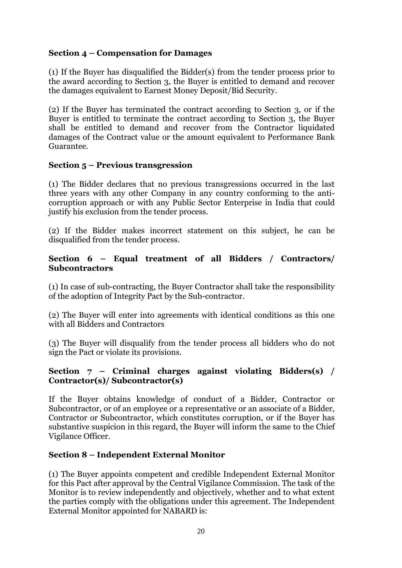# **Section 4 – Compensation for Damages**

(1) If the Buyer has disqualified the Bidder(s) from the tender process prior to the award according to Section 3, the Buyer is entitled to demand and recover the damages equivalent to Earnest Money Deposit/Bid Security.

(2) If the Buyer has terminated the contract according to Section 3, or if the Buyer is entitled to terminate the contract according to Section 3, the Buyer shall be entitled to demand and recover from the Contractor liquidated damages of the Contract value or the amount equivalent to Performance Bank Guarantee.

#### **Section 5 – Previous transgression**

(1) The Bidder declares that no previous transgressions occurred in the last three years with any other Company in any country conforming to the anticorruption approach or with any Public Sector Enterprise in India that could justify his exclusion from the tender process.

(2) If the Bidder makes incorrect statement on this subject, he can be disqualified from the tender process.

### **Section 6 – Equal treatment of all Bidders / Contractors/ Subcontractors**

(1) In case of sub-contracting, the Buyer Contractor shall take the responsibility of the adoption of Integrity Pact by the Sub-contractor.

(2) The Buyer will enter into agreements with identical conditions as this one with all Bidders and Contractors

(3) The Buyer will disqualify from the tender process all bidders who do not sign the Pact or violate its provisions.

#### **Section 7 – Criminal charges against violating Bidders(s) / Contractor(s)/ Subcontractor(s)**

If the Buyer obtains knowledge of conduct of a Bidder, Contractor or Subcontractor, or of an employee or a representative or an associate of a Bidder, Contractor or Subcontractor, which constitutes corruption, or if the Buyer has substantive suspicion in this regard, the Buyer will inform the same to the Chief Vigilance Officer.

# **Section 8 – Independent External Monitor**

(1) The Buyer appoints competent and credible Independent External Monitor for this Pact after approval by the Central Vigilance Commission. The task of the Monitor is to review independently and objectively, whether and to what extent the parties comply with the obligations under this agreement. The Independent External Monitor appointed for NABARD is: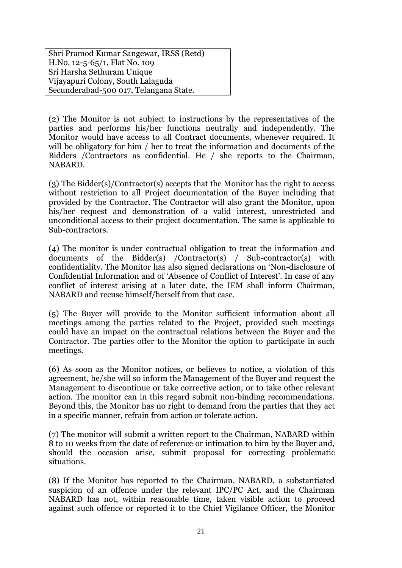Shri Pramod Kumar Sangewar, IRSS (Retd) H.No. 12-5-65/1, Flat No. 109 Sri Harsha Sethuram Unique Vijayapuri Colony, South Lalaguda Secunderabad-500 017, Telangana State.

(2) The Monitor is not subject to instructions by the representatives of the parties and performs his/her functions neutrally and independently. The Monitor would have access to all Contract documents, whenever required. It will be obligatory for him / her to treat the information and documents of the Bidders /Contractors as confidential. He / she reports to the Chairman, NABARD.

(3) The Bidder(s)/Contractor(s) accepts that the Monitor has the right to access without restriction to all Project documentation of the Buyer including that provided by the Contractor. The Contractor will also grant the Monitor, upon his/her request and demonstration of a valid interest, unrestricted and unconditional access to their project documentation. The same is applicable to Sub-contractors.

(4) The monitor is under contractual obligation to treat the information and documents of the Bidder(s) /Contractor(s) / Sub-contractor(s) with confidentiality. The Monitor has also signed declarations on 'Non-disclosure of Confidential Information and of 'Absence of Conflict of Interest'. In case of any conflict of interest arising at a later date, the IEM shall inform Chairman, NABARD and recuse himself/herself from that case.

(5) The Buyer will provide to the Monitor sufficient information about all meetings among the parties related to the Project, provided such meetings could have an impact on the contractual relations between the Buyer and the Contractor. The parties offer to the Monitor the option to participate in such meetings.

(6) As soon as the Monitor notices, or believes to notice, a violation of this agreement, he/she will so inform the Management of the Buyer and request the Management to discontinue or take corrective action, or to take other relevant action. The monitor can in this regard submit non-binding recommendations. Beyond this, the Monitor has no right to demand from the parties that they act in a specific manner, refrain from action or tolerate action.

(7) The monitor will submit a written report to the Chairman, NABARD within 8 to 10 weeks from the date of reference or intimation to him by the Buyer and, should the occasion arise, submit proposal for correcting problematic situations.

(8) If the Monitor has reported to the Chairman, NABARD, a substantiated suspicion of an offence under the relevant IPC/PC Act, and the Chairman NABARD has not, within reasonable time, taken visible action to proceed against such offence or reported it to the Chief Vigilance Officer, the Monitor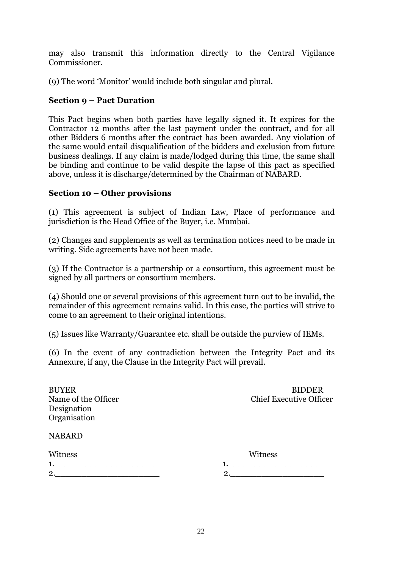may also transmit this information directly to the Central Vigilance Commissioner.

(9) The word 'Monitor' would include both singular and plural.

# **Section 9 – Pact Duration**

This Pact begins when both parties have legally signed it. It expires for the Contractor 12 months after the last payment under the contract, and for all other Bidders 6 months after the contract has been awarded. Any violation of the same would entail disqualification of the bidders and exclusion from future business dealings. If any claim is made/lodged during this time, the same shall be binding and continue to be valid despite the lapse of this pact as specified above, unless it is discharge/determined by the Chairman of NABARD.

#### **Section 10 – Other provisions**

(1) This agreement is subject of Indian Law, Place of performance and jurisdiction is the Head Office of the Buyer, i.e. Mumbai.

(2) Changes and supplements as well as termination notices need to be made in writing. Side agreements have not been made.

(3) If the Contractor is a partnership or a consortium, this agreement must be signed by all partners or consortium members.

(4) Should one or several provisions of this agreement turn out to be invalid, the remainder of this agreement remains valid. In this case, the parties will strive to come to an agreement to their original intentions.

(5) Issues like Warranty/Guarantee etc. shall be outside the purview of IEMs.

(6) In the event of any contradiction between the Integrity Pact and its Annexure, if any, the Clause in the Integrity Pact will prevail.

| <b>BUYER</b>        |
|---------------------|
| Name of the Officer |
| Designation         |
| Organisation        |

BUYER BIDDER Chief Executive Officer

#### NABARD

| Witness |
|---------|
|         |
|         |
|         |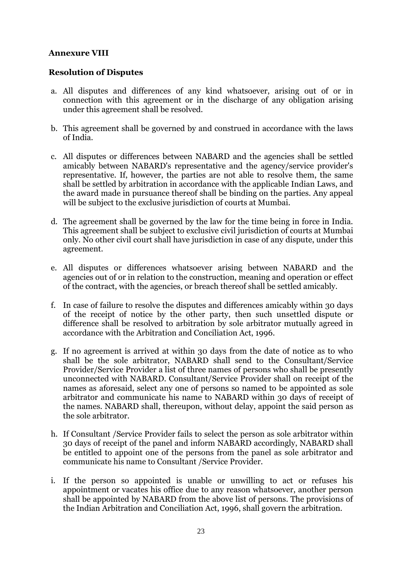# **Annexure VIII**

#### **Resolution of Disputes**

- a. All disputes and differences of any kind whatsoever, arising out of or in connection with this agreement or in the discharge of any obligation arising under this agreement shall be resolved.
- b. This agreement shall be governed by and construed in accordance with the laws of India.
- c. All disputes or differences between NABARD and the agencies shall be settled amicably between NABARD's representative and the agency/service provider's representative. If, however, the parties are not able to resolve them, the same shall be settled by arbitration in accordance with the applicable Indian Laws, and the award made in pursuance thereof shall be binding on the parties. Any appeal will be subject to the exclusive jurisdiction of courts at Mumbai.
- d. The agreement shall be governed by the law for the time being in force in India. This agreement shall be subject to exclusive civil jurisdiction of courts at Mumbai only. No other civil court shall have jurisdiction in case of any dispute, under this agreement.
- e. All disputes or differences whatsoever arising between NABARD and the agencies out of or in relation to the construction, meaning and operation or effect of the contract, with the agencies, or breach thereof shall be settled amicably.
- f. In case of failure to resolve the disputes and differences amicably within 30 days of the receipt of notice by the other party, then such unsettled dispute or difference shall be resolved to arbitration by sole arbitrator mutually agreed in accordance with the Arbitration and Conciliation Act, 1996.
- g. If no agreement is arrived at within 30 days from the date of notice as to who shall be the sole arbitrator, NABARD shall send to the Consultant/Service Provider/Service Provider a list of three names of persons who shall be presently unconnected with NABARD. Consultant/Service Provider shall on receipt of the names as aforesaid, select any one of persons so named to be appointed as sole arbitrator and communicate his name to NABARD within 30 days of receipt of the names. NABARD shall, thereupon, without delay, appoint the said person as the sole arbitrator.
- h. If Consultant /Service Provider fails to select the person as sole arbitrator within 30 days of receipt of the panel and inform NABARD accordingly, NABARD shall be entitled to appoint one of the persons from the panel as sole arbitrator and communicate his name to Consultant /Service Provider.
- i. If the person so appointed is unable or unwilling to act or refuses his appointment or vacates his office due to any reason whatsoever, another person shall be appointed by NABARD from the above list of persons. The provisions of the Indian Arbitration and Conciliation Act, 1996, shall govern the arbitration.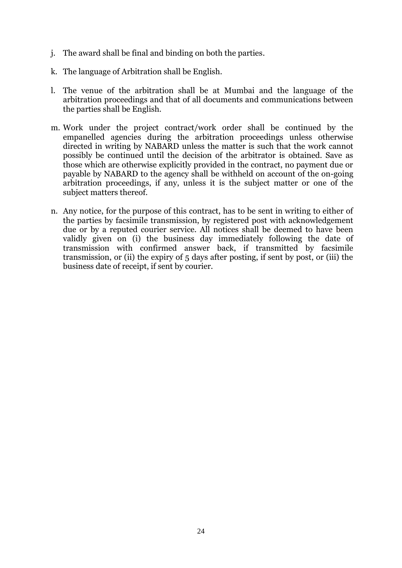- j. The award shall be final and binding on both the parties.
- k. The language of Arbitration shall be English.
- l. The venue of the arbitration shall be at Mumbai and the language of the arbitration proceedings and that of all documents and communications between the parties shall be English.
- m. Work under the project contract/work order shall be continued by the empanelled agencies during the arbitration proceedings unless otherwise directed in writing by NABARD unless the matter is such that the work cannot possibly be continued until the decision of the arbitrator is obtained. Save as those which are otherwise explicitly provided in the contract, no payment due or payable by NABARD to the agency shall be withheld on account of the on-going arbitration proceedings, if any, unless it is the subject matter or one of the subject matters thereof.
- n. Any notice, for the purpose of this contract, has to be sent in writing to either of the parties by facsimile transmission, by registered post with acknowledgement due or by a reputed courier service. All notices shall be deemed to have been validly given on (i) the business day immediately following the date of transmission with confirmed answer back, if transmitted by facsimile transmission, or (ii) the expiry of 5 days after posting, if sent by post, or (iii) the business date of receipt, if sent by courier.